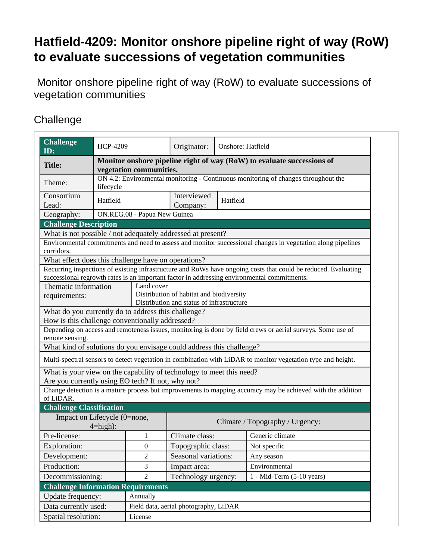## **Hatfield-4209: Monitor onshore pipeline right of way (RoW) to evaluate successions of vegetation communities**

 Monitor onshore pipeline right of way (RoW) to evaluate successions of vegetation communities

## **Challenge**

| ID:<br>Monitor onshore pipeline right of way (RoW) to evaluate successions of<br><b>Title:</b><br>vegetation communities.<br>ON 4.2: Environmental monitoring - Continuous monitoring of changes throughout the<br>Theme:<br>lifecycle<br>Interviewed<br>Consortium<br>Hatfield<br>Hatfield<br>Lead:<br>Company:<br>ON.REG.08 - Papua New Guinea<br>Geography:<br><b>Challenge Description</b><br>What is not possible / not adequately addressed at present?<br>Environmental commitments and need to assess and monitor successional changes in vegetation along pipelines<br>corridors.<br>What effect does this challenge have on operations?<br>Recurring inspections of existing infrastructure and RoWs have ongoing costs that could be reduced. Evaluating<br>successional regrowth rates is an important factor in addressing environmental commitments.<br>Thematic information<br>Land cover<br>Distribution of habitat and biodiversity<br>requirements:<br>Distribution and status of infrastructure<br>What do you currently do to address this challenge?<br>How is this challenge conventionally addressed? |
|------------------------------------------------------------------------------------------------------------------------------------------------------------------------------------------------------------------------------------------------------------------------------------------------------------------------------------------------------------------------------------------------------------------------------------------------------------------------------------------------------------------------------------------------------------------------------------------------------------------------------------------------------------------------------------------------------------------------------------------------------------------------------------------------------------------------------------------------------------------------------------------------------------------------------------------------------------------------------------------------------------------------------------------------------------------------------------------------------------------------------|
|                                                                                                                                                                                                                                                                                                                                                                                                                                                                                                                                                                                                                                                                                                                                                                                                                                                                                                                                                                                                                                                                                                                              |
|                                                                                                                                                                                                                                                                                                                                                                                                                                                                                                                                                                                                                                                                                                                                                                                                                                                                                                                                                                                                                                                                                                                              |
|                                                                                                                                                                                                                                                                                                                                                                                                                                                                                                                                                                                                                                                                                                                                                                                                                                                                                                                                                                                                                                                                                                                              |
|                                                                                                                                                                                                                                                                                                                                                                                                                                                                                                                                                                                                                                                                                                                                                                                                                                                                                                                                                                                                                                                                                                                              |
|                                                                                                                                                                                                                                                                                                                                                                                                                                                                                                                                                                                                                                                                                                                                                                                                                                                                                                                                                                                                                                                                                                                              |
|                                                                                                                                                                                                                                                                                                                                                                                                                                                                                                                                                                                                                                                                                                                                                                                                                                                                                                                                                                                                                                                                                                                              |
|                                                                                                                                                                                                                                                                                                                                                                                                                                                                                                                                                                                                                                                                                                                                                                                                                                                                                                                                                                                                                                                                                                                              |
|                                                                                                                                                                                                                                                                                                                                                                                                                                                                                                                                                                                                                                                                                                                                                                                                                                                                                                                                                                                                                                                                                                                              |
|                                                                                                                                                                                                                                                                                                                                                                                                                                                                                                                                                                                                                                                                                                                                                                                                                                                                                                                                                                                                                                                                                                                              |
|                                                                                                                                                                                                                                                                                                                                                                                                                                                                                                                                                                                                                                                                                                                                                                                                                                                                                                                                                                                                                                                                                                                              |
|                                                                                                                                                                                                                                                                                                                                                                                                                                                                                                                                                                                                                                                                                                                                                                                                                                                                                                                                                                                                                                                                                                                              |
|                                                                                                                                                                                                                                                                                                                                                                                                                                                                                                                                                                                                                                                                                                                                                                                                                                                                                                                                                                                                                                                                                                                              |
|                                                                                                                                                                                                                                                                                                                                                                                                                                                                                                                                                                                                                                                                                                                                                                                                                                                                                                                                                                                                                                                                                                                              |
|                                                                                                                                                                                                                                                                                                                                                                                                                                                                                                                                                                                                                                                                                                                                                                                                                                                                                                                                                                                                                                                                                                                              |
|                                                                                                                                                                                                                                                                                                                                                                                                                                                                                                                                                                                                                                                                                                                                                                                                                                                                                                                                                                                                                                                                                                                              |
| Depending on access and remoteness issues, monitoring is done by field crews or aerial surveys. Some use of                                                                                                                                                                                                                                                                                                                                                                                                                                                                                                                                                                                                                                                                                                                                                                                                                                                                                                                                                                                                                  |
| remote sensing.                                                                                                                                                                                                                                                                                                                                                                                                                                                                                                                                                                                                                                                                                                                                                                                                                                                                                                                                                                                                                                                                                                              |
| What kind of solutions do you envisage could address this challenge?                                                                                                                                                                                                                                                                                                                                                                                                                                                                                                                                                                                                                                                                                                                                                                                                                                                                                                                                                                                                                                                         |
| Multi-spectral sensors to detect vegetation in combination with LiDAR to monitor vegetation type and height.                                                                                                                                                                                                                                                                                                                                                                                                                                                                                                                                                                                                                                                                                                                                                                                                                                                                                                                                                                                                                 |
| What is your view on the capability of technology to meet this need?                                                                                                                                                                                                                                                                                                                                                                                                                                                                                                                                                                                                                                                                                                                                                                                                                                                                                                                                                                                                                                                         |
| Are you currently using EO tech? If not, why not?                                                                                                                                                                                                                                                                                                                                                                                                                                                                                                                                                                                                                                                                                                                                                                                                                                                                                                                                                                                                                                                                            |
| Change detection is a mature process but improvements to mapping accuracy may be achieved with the addition<br>of LiDAR.                                                                                                                                                                                                                                                                                                                                                                                                                                                                                                                                                                                                                                                                                                                                                                                                                                                                                                                                                                                                     |
| <b>Challenge Classification</b>                                                                                                                                                                                                                                                                                                                                                                                                                                                                                                                                                                                                                                                                                                                                                                                                                                                                                                                                                                                                                                                                                              |
| Impact on Lifecycle (0=none,                                                                                                                                                                                                                                                                                                                                                                                                                                                                                                                                                                                                                                                                                                                                                                                                                                                                                                                                                                                                                                                                                                 |
| Climate / Topography / Urgency:<br>$4 = high$ :                                                                                                                                                                                                                                                                                                                                                                                                                                                                                                                                                                                                                                                                                                                                                                                                                                                                                                                                                                                                                                                                              |
| Climate class:<br>Generic climate<br>Pre-license:<br>1                                                                                                                                                                                                                                                                                                                                                                                                                                                                                                                                                                                                                                                                                                                                                                                                                                                                                                                                                                                                                                                                       |
| Topographic class:<br>Exploration:<br>$\mathbf{0}$<br>Not specific                                                                                                                                                                                                                                                                                                                                                                                                                                                                                                                                                                                                                                                                                                                                                                                                                                                                                                                                                                                                                                                           |
| $\mathfrak{2}% =\mathfrak{2}\left( \mathfrak{2}\right) ^{2}$<br>Development:<br>Seasonal variations:<br>Any season                                                                                                                                                                                                                                                                                                                                                                                                                                                                                                                                                                                                                                                                                                                                                                                                                                                                                                                                                                                                           |
| Production:<br>Environmental<br>3<br>Impact area:                                                                                                                                                                                                                                                                                                                                                                                                                                                                                                                                                                                                                                                                                                                                                                                                                                                                                                                                                                                                                                                                            |
| Decommissioning:<br>$\overline{2}$<br>Technology urgency:<br>$1 - Mid-Term (5-10 years)$                                                                                                                                                                                                                                                                                                                                                                                                                                                                                                                                                                                                                                                                                                                                                                                                                                                                                                                                                                                                                                     |
| <b>Challenge Information Requirements</b>                                                                                                                                                                                                                                                                                                                                                                                                                                                                                                                                                                                                                                                                                                                                                                                                                                                                                                                                                                                                                                                                                    |
| Update frequency:<br>Annually                                                                                                                                                                                                                                                                                                                                                                                                                                                                                                                                                                                                                                                                                                                                                                                                                                                                                                                                                                                                                                                                                                |
| Data currently used:<br>Field data, aerial photography, LiDAR                                                                                                                                                                                                                                                                                                                                                                                                                                                                                                                                                                                                                                                                                                                                                                                                                                                                                                                                                                                                                                                                |
| Spatial resolution:<br>License                                                                                                                                                                                                                                                                                                                                                                                                                                                                                                                                                                                                                                                                                                                                                                                                                                                                                                                                                                                                                                                                                               |